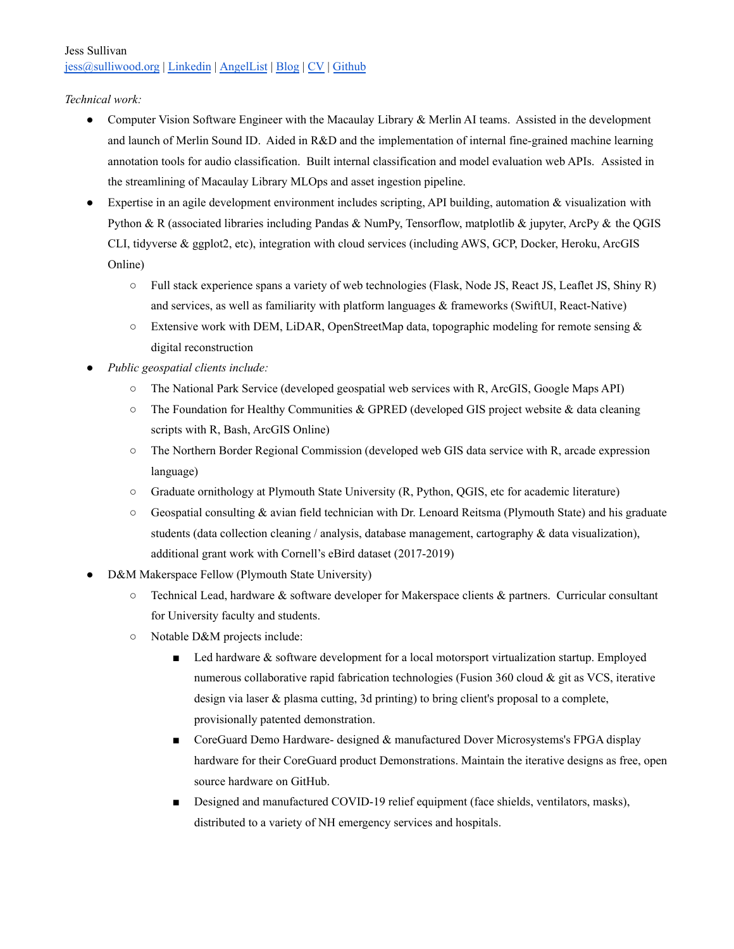# Jess Sullivan [jess@sulliwood.org](mailto:jess@sulliwood.org) | [Linkedin](https://www.linkedin.com/in/jess-sullivan-49a678172/) | [AngelList](https://angel.co/u/jess-sulliwood-org) | [Blog](https://www.transscendsurvival.org/) | [CV](https://www.transscendsurvival.org/CV) | [Github](https://github.com/Jesssullivan)

#### *Technical work:*

- Computer Vision Software Engineer with the Macaulay Library & Merlin AI teams. Assisted in the development and launch of Merlin Sound ID. Aided in R&D and the implementation of internal fine-grained machine learning annotation tools for audio classification. Built internal classification and model evaluation web APIs. Assisted in the streamlining of Macaulay Library MLOps and asset ingestion pipeline.
- Expertise in an agile development environment includes scripting, API building, automation & visualization with Python & R (associated libraries including Pandas & NumPy, Tensorflow, matplotlib & jupyter, ArcPy & the QGIS CLI, tidyverse & ggplot2, etc), integration with cloud services (including AWS, GCP, Docker, Heroku, ArcGIS Online)
	- Full stack experience spans a variety of web technologies (Flask, Node JS, React JS, Leaflet JS, Shiny R) and services, as well as familiarity with platform languages & frameworks (SwiftUI, React-Native)
	- $\circ$  Extensive work with DEM, LiDAR, OpenStreetMap data, topographic modeling for remote sensing & digital reconstruction
- *Public geospatial clients include:*
	- *○* The National Park Service (developed geospatial web services with R, ArcGIS, Google Maps API)
	- *○* The Foundation for Healthy Communities & GPRED (developed GIS project website & data cleaning scripts with R, Bash, ArcGIS Online)
	- *○* The Northern Border Regional Commission (developed web GIS data service with R, arcade expression language)
	- *○* Graduate ornithology at Plymouth State University (R, Python, QGIS, etc for academic literature)
	- *○* Geospatial consulting & avian field technician with Dr. Lenoard Reitsma (Plymouth State) and his graduate students (data collection cleaning / analysis, database management, cartography  $\&$  data visualization), additional grant work with Cornell's eBird dataset (2017-2019)
- D&M Makerspace Fellow (Plymouth State University)
	- $\circ$  Technical Lead, hardware & software developer for Makerspace clients & partners. Curricular consultant for University faculty and students.
	- Notable D&M projects include:
		- Led hardware & software development for a local motorsport virtualization startup. Employed numerous collaborative rapid fabrication technologies (Fusion 360 cloud & git as VCS, iterative design via laser & plasma cutting, 3d printing) to bring client's proposal to a complete, provisionally patented demonstration.
		- CoreGuard Demo Hardware- designed & manufactured Dover Microsystems's FPGA display hardware for their CoreGuard product Demonstrations. Maintain the iterative designs as free, open source hardware on GitHub.
		- Designed and manufactured COVID-19 relief equipment (face shields, ventilators, masks), distributed to a variety of NH emergency services and hospitals.